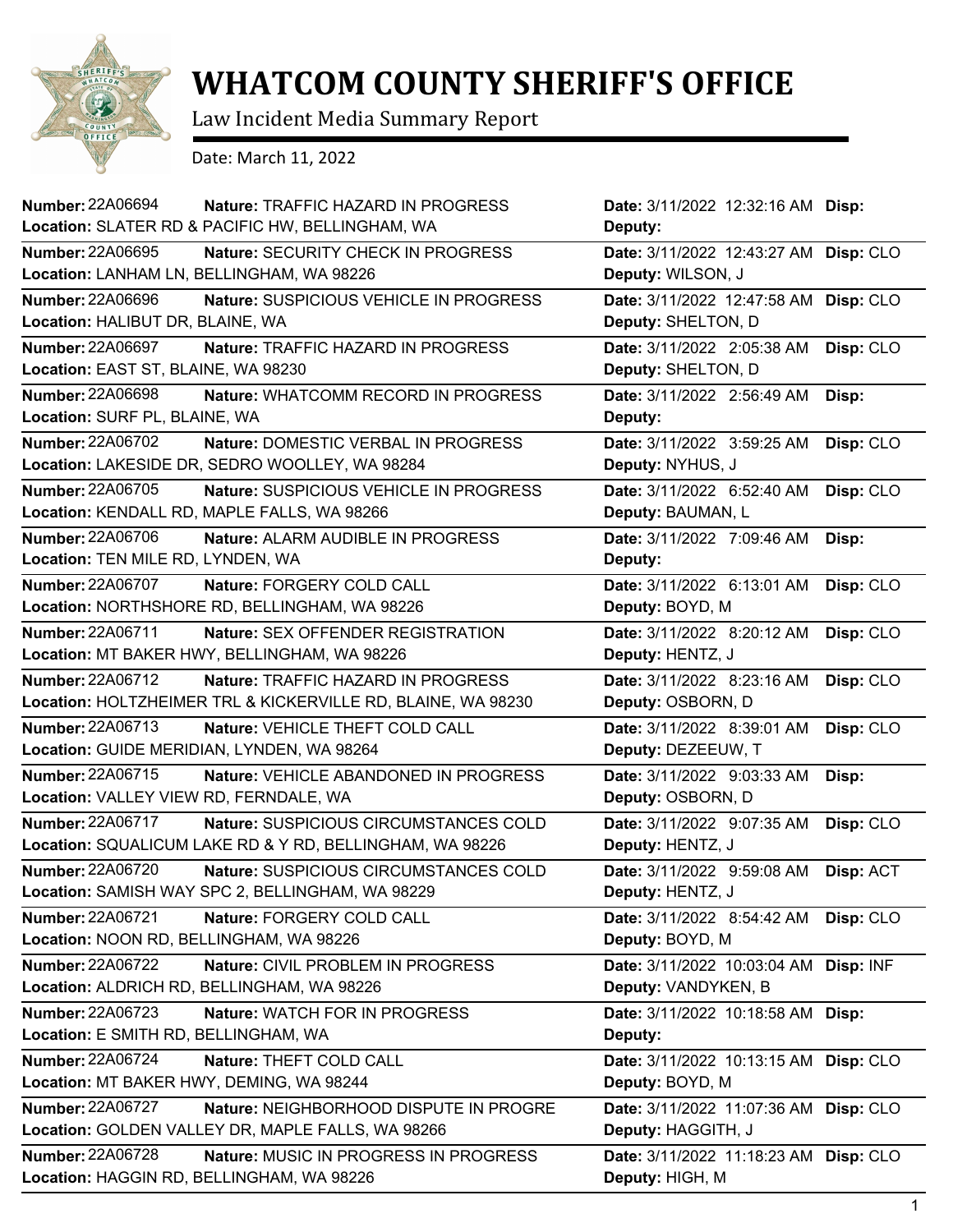

## **WHATCOM COUNTY SHERIFF'S OFFICE**

Law Incident Media Summary Report

Date: March 11, 2022

| <b>Number: 22A06694</b><br><b>Nature: TRAFFIC HAZARD IN PROGRESS</b> | Date: 3/11/2022 12:32:16 AM Disp:     |           |
|----------------------------------------------------------------------|---------------------------------------|-----------|
| Location: SLATER RD & PACIFIC HW, BELLINGHAM, WA                     | Deputy:                               |           |
| <b>Number: 22A06695</b><br>Nature: SECURITY CHECK IN PROGRESS        | Date: 3/11/2022 12:43:27 AM Disp: CLO |           |
| Location: LANHAM LN, BELLINGHAM, WA 98226                            | Deputy: WILSON, J                     |           |
| <b>Number: 22A06696</b><br>Nature: SUSPICIOUS VEHICLE IN PROGRESS    | Date: 3/11/2022 12:47:58 AM Disp: CLO |           |
| Location: HALIBUT DR, BLAINE, WA                                     | Deputy: SHELTON, D                    |           |
| <b>Number: 22A06697</b><br>Nature: TRAFFIC HAZARD IN PROGRESS        | Date: 3/11/2022 2:05:38 AM            | Disp: CLO |
| Location: EAST ST, BLAINE, WA 98230                                  | Deputy: SHELTON, D                    |           |
| <b>Number: 22A06698</b><br>Nature: WHATCOMM RECORD IN PROGRESS       | Date: 3/11/2022 2:56:49 AM            | Disp:     |
| Location: SURF PL, BLAINE, WA                                        | Deputy:                               |           |
| Number: 22A06702<br>Nature: DOMESTIC VERBAL IN PROGRESS              | Date: 3/11/2022 3:59:25 AM            | Disp: CLO |
| Location: LAKESIDE DR, SEDRO WOOLLEY, WA 98284                       | Deputy: NYHUS, J                      |           |
| Number: 22A06705<br>Nature: SUSPICIOUS VEHICLE IN PROGRESS           | Date: 3/11/2022 6:52:40 AM            | Disp: CLO |
| Location: KENDALL RD, MAPLE FALLS, WA 98266                          | Deputy: BAUMAN, L                     |           |
| Number: 22A06706<br>Nature: ALARM AUDIBLE IN PROGRESS                | Date: 3/11/2022 7:09:46 AM            | Disp:     |
| Location: TEN MILE RD, LYNDEN, WA                                    | Deputy:                               |           |
| Number: 22A06707<br>Nature: FORGERY COLD CALL                        | Date: 3/11/2022 6:13:01 AM            | Disp: CLO |
| Location: NORTHSHORE RD, BELLINGHAM, WA 98226                        | Deputy: BOYD, M                       |           |
| <b>Number: 22A06711</b><br>Nature: SEX OFFENDER REGISTRATION         | Date: 3/11/2022 8:20:12 AM            | Disp: CLO |
| Location: MT BAKER HWY, BELLINGHAM, WA 98226                         | Deputy: HENTZ, J                      |           |
| Number: 22A06712<br>Nature: TRAFFIC HAZARD IN PROGRESS               | Date: 3/11/2022 8:23:16 AM            | Disp: CLO |
| Location: HOLTZHEIMER TRL & KICKERVILLE RD, BLAINE, WA 98230         | Deputy: OSBORN, D                     |           |
| <b>Number: 22A06713</b><br>Nature: VEHICLE THEFT COLD CALL           | Date: 3/11/2022 8:39:01 AM            | Disp: CLO |
| Location: GUIDE MERIDIAN, LYNDEN, WA 98264                           | Deputy: DEZEEUW, T                    |           |
| Number: 22A06715<br>Nature: VEHICLE ABANDONED IN PROGRESS            | Date: 3/11/2022 9:03:33 AM            | Disp:     |
| Location: VALLEY VIEW RD, FERNDALE, WA                               | Deputy: OSBORN, D                     |           |
| <b>Number: 22A06717</b><br>Nature: SUSPICIOUS CIRCUMSTANCES COLD     | Date: 3/11/2022 9:07:35 AM            | Disp: CLO |
| Location: SQUALICUM LAKE RD & Y RD, BELLINGHAM, WA 98226             | Deputy: HENTZ, J                      |           |
| <b>Number: 22A06720</b><br>Nature: SUSPICIOUS CIRCUMSTANCES COLD     | Date: 3/11/2022 9:59:08 AM            | Disp: ACT |
| Location: SAMISH WAY SPC 2, BELLINGHAM, WA 98229                     | Deputy: HENTZ, J                      |           |
| Number: 22A06721<br>Nature: FORGERY COLD CALL                        | Date: 3/11/2022 8:54:42 AM            | Disp: CLO |
| Location: NOON RD, BELLINGHAM, WA 98226                              | Deputy: BOYD, M                       |           |
| Number: 22A06722<br>Nature: CIVIL PROBLEM IN PROGRESS                | Date: 3/11/2022 10:03:04 AM Disp: INF |           |
| Location: ALDRICH RD, BELLINGHAM, WA 98226                           | Deputy: VANDYKEN, B                   |           |
| Number: 22A06723<br>Nature: WATCH FOR IN PROGRESS                    | Date: 3/11/2022 10:18:58 AM Disp:     |           |
| Location: E SMITH RD, BELLINGHAM, WA                                 | Deputy:                               |           |
| <b>Number: 22A06724</b><br>Nature: THEFT COLD CALL                   | Date: 3/11/2022 10:13:15 AM Disp: CLO |           |
| Location: MT BAKER HWY, DEMING, WA 98244                             | Deputy: BOYD, M                       |           |
| Number: 22A06727<br>Nature: NEIGHBORHOOD DISPUTE IN PROGRE           | Date: 3/11/2022 11:07:36 AM Disp: CLO |           |
| Location: GOLDEN VALLEY DR, MAPLE FALLS, WA 98266                    | Deputy: HAGGITH, J                    |           |
| <b>Number: 22A06728</b><br>Nature: MUSIC IN PROGRESS IN PROGRESS     | Date: 3/11/2022 11:18:23 AM Disp: CLO |           |
| Location: HAGGIN RD, BELLINGHAM, WA 98226                            | Deputy: HIGH, M                       |           |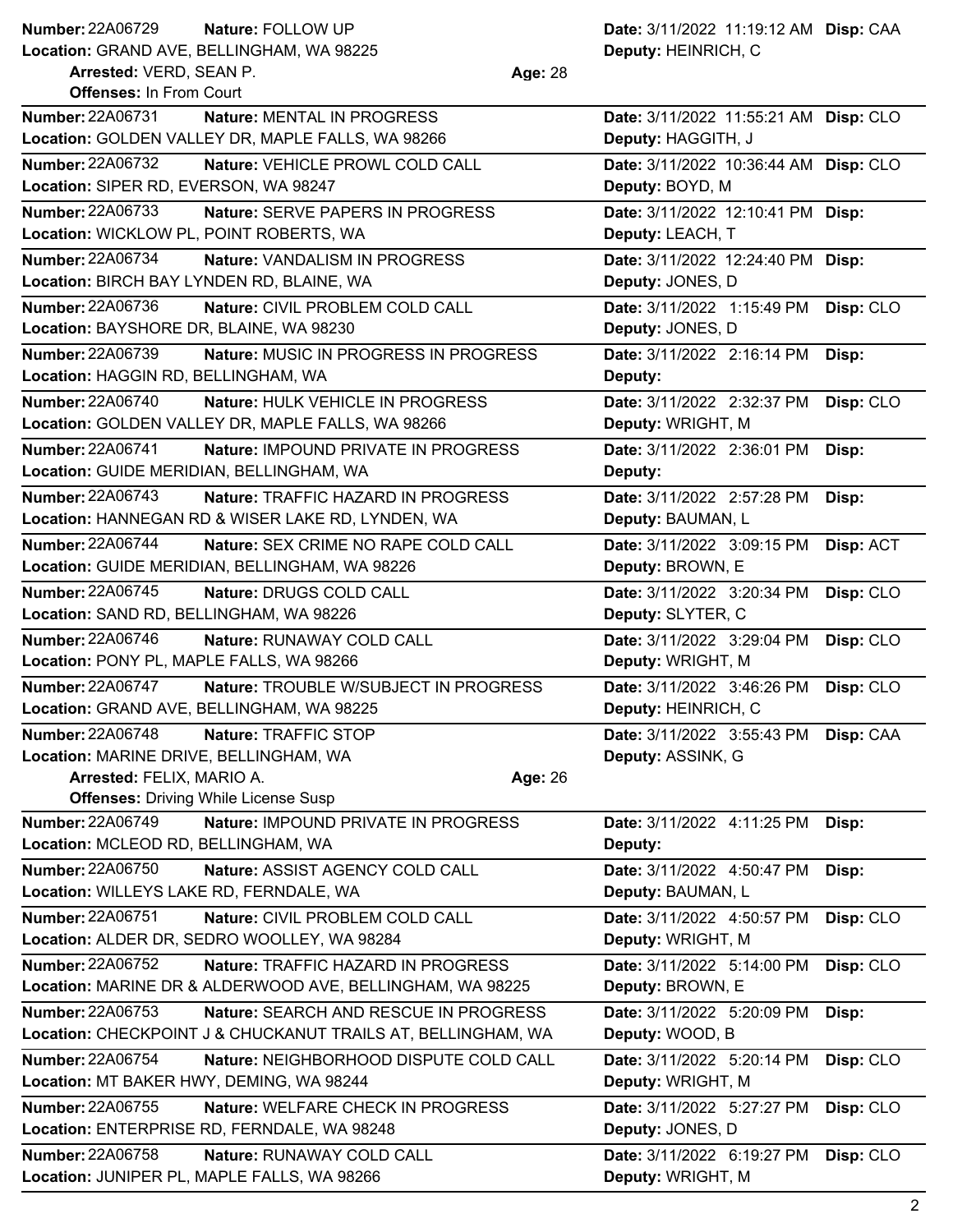## **Number: Nature:** FOLLOW UP **Date:** 3/11/2022 11:19:12 AM **Disp:** CAA **Number: 22A06729**

**Location:** GRAND AVE, BELLINGHAM, WA 98225

**Arrested:** VERD, SEAN P. **Age:** 28

**Deputy:** HEINRICH, C

| <b>Offenses: In From Court</b>                                     |                                       |           |
|--------------------------------------------------------------------|---------------------------------------|-----------|
| Number: 22A06731<br>Nature: MENTAL IN PROGRESS                     | Date: 3/11/2022 11:55:21 AM Disp: CLO |           |
| Location: GOLDEN VALLEY DR, MAPLE FALLS, WA 98266                  | Deputy: HAGGITH, J                    |           |
| <b>Number: 22A06732</b><br>Nature: VEHICLE PROWL COLD CALL         | Date: 3/11/2022 10:36:44 AM Disp: CLO |           |
| Location: SIPER RD, EVERSON, WA 98247                              | Deputy: BOYD, M                       |           |
| <b>Number: 22A06733</b><br><b>Nature: SERVE PAPERS IN PROGRESS</b> | Date: 3/11/2022 12:10:41 PM Disp:     |           |
| Location: WICKLOW PL, POINT ROBERTS, WA                            | Deputy: LEACH, T                      |           |
| <b>Number: 22A06734</b><br>Nature: VANDALISM IN PROGRESS           | Date: 3/11/2022 12:24:40 PM Disp:     |           |
| Location: BIRCH BAY LYNDEN RD, BLAINE, WA                          | Deputy: JONES, D                      |           |
| Number: 22A06736<br>Nature: CIVIL PROBLEM COLD CALL                | Date: 3/11/2022 1:15:49 PM            | Disp: CLO |
| Location: BAYSHORE DR, BLAINE, WA 98230                            | Deputy: JONES, D                      |           |
| <b>Number: 22A06739</b><br>Nature: MUSIC IN PROGRESS IN PROGRESS   | Date: 3/11/2022 2:16:14 PM            | Disp:     |
| Location: HAGGIN RD, BELLINGHAM, WA                                | Deputy:                               |           |
| <b>Number: 22A06740</b><br>Nature: HULK VEHICLE IN PROGRESS        | Date: 3/11/2022 2:32:37 PM            | Disp: CLO |
| Location: GOLDEN VALLEY DR, MAPLE FALLS, WA 98266                  | Deputy: WRIGHT, M                     |           |
| Number: 22A06741<br><b>Nature: IMPOUND PRIVATE IN PROGRESS</b>     | Date: 3/11/2022 2:36:01 PM            | Disp:     |
| Location: GUIDE MERIDIAN, BELLINGHAM, WA                           | Deputy:                               |           |
| <b>Number: 22A06743</b><br>Nature: TRAFFIC HAZARD IN PROGRESS      | Date: 3/11/2022 2:57:28 PM            | Disp:     |
| Location: HANNEGAN RD & WISER LAKE RD, LYNDEN, WA                  | Deputy: BAUMAN, L                     |           |
| <b>Number: 22A06744</b><br>Nature: SEX CRIME NO RAPE COLD CALL     | Date: 3/11/2022 3:09:15 PM            | Disp: ACT |
| Location: GUIDE MERIDIAN, BELLINGHAM, WA 98226                     | Deputy: BROWN, E                      |           |
| <b>Number: 22A06745</b><br>Nature: DRUGS COLD CALL                 | Date: 3/11/2022 3:20:34 PM            | Disp: CLO |
| Location: SAND RD, BELLINGHAM, WA 98226                            | Deputy: SLYTER, C                     |           |
| <b>Number: 22A06746</b><br>Nature: RUNAWAY COLD CALL               | Date: 3/11/2022 3:29:04 PM            | Disp: CLO |
| Location: PONY PL, MAPLE FALLS, WA 98266                           | Deputy: WRIGHT, M                     |           |
| Number: 22A06747<br>Nature: TROUBLE W/SUBJECT IN PROGRESS          | Date: 3/11/2022 3:46:26 PM            | Disp: CLO |
| Location: GRAND AVE, BELLINGHAM, WA 98225                          | Deputy: HEINRICH, C                   |           |
| <b>Number: 22A06748</b><br>Nature: TRAFFIC STOP                    | Date: 3/11/2022 3:55:43 PM            | Disp: CAA |
| Location: MARINE DRIVE, BELLINGHAM, WA                             | Deputy: ASSINK, G                     |           |
| <b>Arrested: FELIX, MARIO A.</b><br>Age: 26                        |                                       |           |
| <b>Offenses: Driving While License Susp</b>                        |                                       |           |
| <b>Number: 22A06749</b><br>Nature: IMPOUND PRIVATE IN PROGRESS     | Date: 3/11/2022 4:11:25 PM            | Disp:     |
| Location: MCLEOD RD, BELLINGHAM, WA                                | Deputy:                               |           |
| <b>Number: 22A06750</b><br>Nature: ASSIST AGENCY COLD CALL         | Date: 3/11/2022 4:50:47 PM            | Disp:     |
| Location: WILLEYS LAKE RD, FERNDALE, WA                            | Deputy: BAUMAN, L                     |           |
| <b>Number: 22A06751</b><br>Nature: CIVIL PROBLEM COLD CALL         | Date: 3/11/2022 4:50:57 PM            | Disp: CLO |
| Location: ALDER DR, SEDRO WOOLLEY, WA 98284                        | Deputy: WRIGHT, M                     |           |
| <b>Number: 22A06752</b><br>Nature: TRAFFIC HAZARD IN PROGRESS      | Date: 3/11/2022 5:14:00 PM            | Disp: CLO |
| Location: MARINE DR & ALDERWOOD AVE, BELLINGHAM, WA 98225          | Deputy: BROWN, E                      |           |
| <b>Number: 22A06753</b><br>Nature: SEARCH AND RESCUE IN PROGRESS   | Date: 3/11/2022 5:20:09 PM            | Disp:     |
| Location: CHECKPOINT J & CHUCKANUT TRAILS AT, BELLINGHAM, WA       | Deputy: WOOD, B                       |           |
| <b>Number: 22A06754</b><br>Nature: NEIGHBORHOOD DISPUTE COLD CALL  | Date: 3/11/2022 5:20:14 PM            | Disp: CLO |
| Location: MT BAKER HWY, DEMING, WA 98244                           | Deputy: WRIGHT, M                     |           |
| Number: 22A06755<br>Nature: WELFARE CHECK IN PROGRESS              | Date: 3/11/2022 5:27:27 PM            | Disp: CLO |
| Location: ENTERPRISE RD, FERNDALE, WA 98248                        | Deputy: JONES, D                      |           |
| <b>Number: 22A06758</b><br>Nature: RUNAWAY COLD CALL               | Date: 3/11/2022 6:19:27 PM            | Disp: CLO |
|                                                                    | Deputy: WRIGHT, M                     |           |